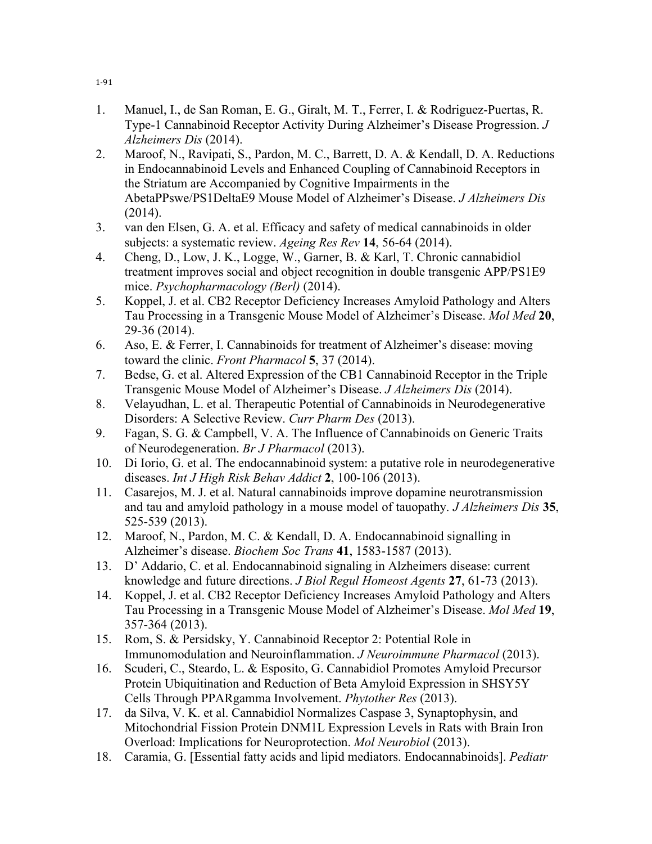- 1. Manuel, I., de San Roman, E. G., Giralt, M. T., Ferrer, I. & Rodriguez-Puertas, R. Type-1 Cannabinoid Receptor Activity During Alzheimer's Disease Progression. *J Alzheimers Dis* (2014).
- 2. Maroof, N., Ravipati, S., Pardon, M. C., Barrett, D. A. & Kendall, D. A. Reductions in Endocannabinoid Levels and Enhanced Coupling of Cannabinoid Receptors in the Striatum are Accompanied by Cognitive Impairments in the AbetaPPswe/PS1DeltaE9 Mouse Model of Alzheimer's Disease. *J Alzheimers Dis* (2014).
- 3. van den Elsen, G. A. et al. Efficacy and safety of medical cannabinoids in older subjects: a systematic review. *Ageing Res Rev* **14**, 56-64 (2014).
- 4. Cheng, D., Low, J. K., Logge, W., Garner, B. & Karl, T. Chronic cannabidiol treatment improves social and object recognition in double transgenic APP/PS1E9 mice. *Psychopharmacology (Berl)* (2014).
- 5. Koppel, J. et al. CB2 Receptor Deficiency Increases Amyloid Pathology and Alters Tau Processing in a Transgenic Mouse Model of Alzheimer's Disease. *Mol Med* **20**, 29-36 (2014).
- 6. Aso, E. & Ferrer, I. Cannabinoids for treatment of Alzheimer's disease: moving toward the clinic. *Front Pharmacol* **5**, 37 (2014).
- 7. Bedse, G. et al. Altered Expression of the CB1 Cannabinoid Receptor in the Triple Transgenic Mouse Model of Alzheimer's Disease. *J Alzheimers Dis* (2014).
- 8. Velayudhan, L. et al. Therapeutic Potential of Cannabinoids in Neurodegenerative Disorders: A Selective Review. *Curr Pharm Des* (2013).
- 9. Fagan, S. G. & Campbell, V. A. The Influence of Cannabinoids on Generic Traits of Neurodegeneration. *Br J Pharmacol* (2013).
- 10. Di Iorio, G. et al. The endocannabinoid system: a putative role in neurodegenerative diseases. *Int J High Risk Behav Addict* **2**, 100-106 (2013).
- 11. Casarejos, M. J. et al. Natural cannabinoids improve dopamine neurotransmission and tau and amyloid pathology in a mouse model of tauopathy. *J Alzheimers Dis* **35**, 525-539 (2013).
- 12. Maroof, N., Pardon, M. C. & Kendall, D. A. Endocannabinoid signalling in Alzheimer's disease. *Biochem Soc Trans* **41**, 1583-1587 (2013).
- 13. D' Addario, C. et al. Endocannabinoid signaling in Alzheimers disease: current knowledge and future directions. *J Biol Regul Homeost Agents* **27**, 61-73 (2013).
- 14. Koppel, J. et al. CB2 Receptor Deficiency Increases Amyloid Pathology and Alters Tau Processing in a Transgenic Mouse Model of Alzheimer's Disease. *Mol Med* **19**, 357-364 (2013).
- 15. Rom, S. & Persidsky, Y. Cannabinoid Receptor 2: Potential Role in Immunomodulation and Neuroinflammation. *J Neuroimmune Pharmacol* (2013).
- 16. Scuderi, C., Steardo, L. & Esposito, G. Cannabidiol Promotes Amyloid Precursor Protein Ubiquitination and Reduction of Beta Amyloid Expression in SHSY5Y Cells Through PPARgamma Involvement. *Phytother Res* (2013).
- 17. da Silva, V. K. et al. Cannabidiol Normalizes Caspase 3, Synaptophysin, and Mitochondrial Fission Protein DNM1L Expression Levels in Rats with Brain Iron Overload: Implications for Neuroprotection. *Mol Neurobiol* (2013).
- 18. Caramia, G. [Essential fatty acids and lipid mediators. Endocannabinoids]. *Pediatr*

 $1 - 91$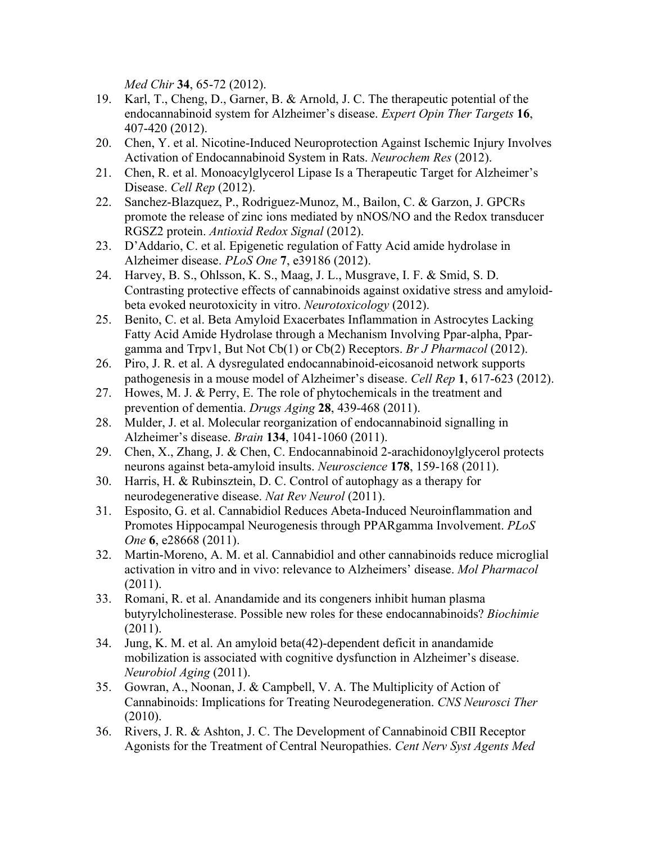*Med Chir* **34**, 65-72 (2012).

- 19. Karl, T., Cheng, D., Garner, B. & Arnold, J. C. The therapeutic potential of the endocannabinoid system for Alzheimer's disease. *Expert Opin Ther Targets* **16**, 407-420 (2012).
- 20. Chen, Y. et al. Nicotine-Induced Neuroprotection Against Ischemic Injury Involves Activation of Endocannabinoid System in Rats. *Neurochem Res* (2012).
- 21. Chen, R. et al. Monoacylglycerol Lipase Is a Therapeutic Target for Alzheimer's Disease. *Cell Rep* (2012).
- 22. Sanchez-Blazquez, P., Rodriguez-Munoz, M., Bailon, C. & Garzon, J. GPCRs promote the release of zinc ions mediated by nNOS/NO and the Redox transducer RGSZ2 protein. *Antioxid Redox Signal* (2012).
- 23. D'Addario, C. et al. Epigenetic regulation of Fatty Acid amide hydrolase in Alzheimer disease. *PLoS One* **7**, e39186 (2012).
- 24. Harvey, B. S., Ohlsson, K. S., Maag, J. L., Musgrave, I. F. & Smid, S. D. Contrasting protective effects of cannabinoids against oxidative stress and amyloidbeta evoked neurotoxicity in vitro. *Neurotoxicology* (2012).
- 25. Benito, C. et al. Beta Amyloid Exacerbates Inflammation in Astrocytes Lacking Fatty Acid Amide Hydrolase through a Mechanism Involving Ppar-alpha, Ppargamma and Trpv1, But Not Cb(1) or Cb(2) Receptors. *Br J Pharmacol* (2012).
- 26. Piro, J. R. et al. A dysregulated endocannabinoid-eicosanoid network supports pathogenesis in a mouse model of Alzheimer's disease. *Cell Rep* **1**, 617-623 (2012).
- 27. Howes, M. J. & Perry, E. The role of phytochemicals in the treatment and prevention of dementia. *Drugs Aging* **28**, 439-468 (2011).
- 28. Mulder, J. et al. Molecular reorganization of endocannabinoid signalling in Alzheimer's disease. *Brain* **134**, 1041-1060 (2011).
- 29. Chen, X., Zhang, J. & Chen, C. Endocannabinoid 2-arachidonoylglycerol protects neurons against beta-amyloid insults. *Neuroscience* **178**, 159-168 (2011).
- 30. Harris, H. & Rubinsztein, D. C. Control of autophagy as a therapy for neurodegenerative disease. *Nat Rev Neurol* (2011).
- 31. Esposito, G. et al. Cannabidiol Reduces Abeta-Induced Neuroinflammation and Promotes Hippocampal Neurogenesis through PPARgamma Involvement. *PLoS One* **6**, e28668 (2011).
- 32. Martin-Moreno, A. M. et al. Cannabidiol and other cannabinoids reduce microglial activation in vitro and in vivo: relevance to Alzheimers' disease. *Mol Pharmacol* (2011).
- 33. Romani, R. et al. Anandamide and its congeners inhibit human plasma butyrylcholinesterase. Possible new roles for these endocannabinoids? *Biochimie* (2011).
- 34. Jung, K. M. et al. An amyloid beta(42)-dependent deficit in anandamide mobilization is associated with cognitive dysfunction in Alzheimer's disease. *Neurobiol Aging* (2011).
- 35. Gowran, A., Noonan, J. & Campbell, V. A. The Multiplicity of Action of Cannabinoids: Implications for Treating Neurodegeneration. *CNS Neurosci Ther* (2010).
- 36. Rivers, J. R. & Ashton, J. C. The Development of Cannabinoid CBII Receptor Agonists for the Treatment of Central Neuropathies. *Cent Nerv Syst Agents Med*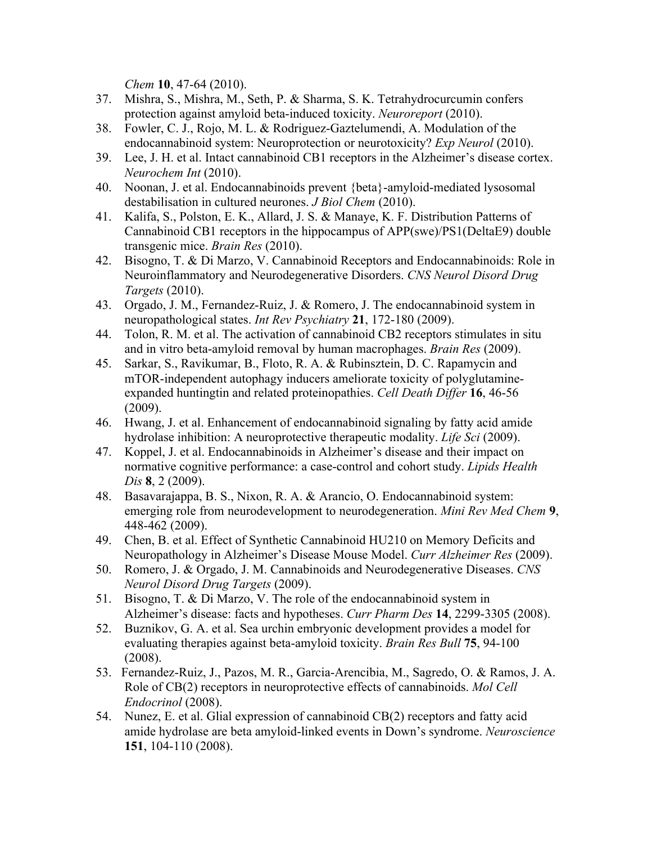*Chem* **10**, 47-64 (2010).

- 37. Mishra, S., Mishra, M., Seth, P. & Sharma, S. K. Tetrahydrocurcumin confers protection against amyloid beta-induced toxicity. *Neuroreport* (2010).
- 38. Fowler, C. J., Rojo, M. L. & Rodriguez-Gaztelumendi, A. Modulation of the endocannabinoid system: Neuroprotection or neurotoxicity? *Exp Neurol* (2010).
- 39. Lee, J. H. et al. Intact cannabinoid CB1 receptors in the Alzheimer's disease cortex. *Neurochem Int* (2010).
- 40. Noonan, J. et al. Endocannabinoids prevent {beta}-amyloid-mediated lysosomal destabilisation in cultured neurones. *J Biol Chem* (2010).
- 41. Kalifa, S., Polston, E. K., Allard, J. S. & Manaye, K. F. Distribution Patterns of Cannabinoid CB1 receptors in the hippocampus of APP(swe)/PS1(DeltaE9) double transgenic mice. *Brain Res* (2010).
- 42. Bisogno, T. & Di Marzo, V. Cannabinoid Receptors and Endocannabinoids: Role in Neuroinflammatory and Neurodegenerative Disorders. *CNS Neurol Disord Drug Targets* (2010).
- 43. Orgado, J. M., Fernandez-Ruiz, J. & Romero, J. The endocannabinoid system in neuropathological states. *Int Rev Psychiatry* **21**, 172-180 (2009).
- 44. Tolon, R. M. et al. The activation of cannabinoid CB2 receptors stimulates in situ and in vitro beta-amyloid removal by human macrophages. *Brain Res* (2009).
- 45. Sarkar, S., Ravikumar, B., Floto, R. A. & Rubinsztein, D. C. Rapamycin and mTOR-independent autophagy inducers ameliorate toxicity of polyglutamineexpanded huntingtin and related proteinopathies. *Cell Death Differ* **16**, 46-56 (2009).
- 46. Hwang, J. et al. Enhancement of endocannabinoid signaling by fatty acid amide hydrolase inhibition: A neuroprotective therapeutic modality. *Life Sci* (2009).
- 47. Koppel, J. et al. Endocannabinoids in Alzheimer's disease and their impact on normative cognitive performance: a case-control and cohort study. *Lipids Health Dis* **8**, 2 (2009).
- 48. Basavarajappa, B. S., Nixon, R. A. & Arancio, O. Endocannabinoid system: emerging role from neurodevelopment to neurodegeneration. *Mini Rev Med Chem* **9**, 448-462 (2009).
- 49. Chen, B. et al. Effect of Synthetic Cannabinoid HU210 on Memory Deficits and Neuropathology in Alzheimer's Disease Mouse Model. *Curr Alzheimer Res* (2009).
- 50. Romero, J. & Orgado, J. M. Cannabinoids and Neurodegenerative Diseases. *CNS Neurol Disord Drug Targets* (2009).
- 51. Bisogno, T. & Di Marzo, V. The role of the endocannabinoid system in Alzheimer's disease: facts and hypotheses. *Curr Pharm Des* **14**, 2299-3305 (2008).
- 52. Buznikov, G. A. et al. Sea urchin embryonic development provides a model for evaluating therapies against beta-amyloid toxicity. *Brain Res Bull* **75**, 94-100 (2008).
- 53. Fernandez-Ruiz, J., Pazos, M. R., Garcia-Arencibia, M., Sagredo, O. & Ramos, J. A. Role of CB(2) receptors in neuroprotective effects of cannabinoids. *Mol Cell Endocrinol* (2008).
- 54. Nunez, E. et al. Glial expression of cannabinoid CB(2) receptors and fatty acid amide hydrolase are beta amyloid-linked events in Down's syndrome. *Neuroscience* **151**, 104-110 (2008).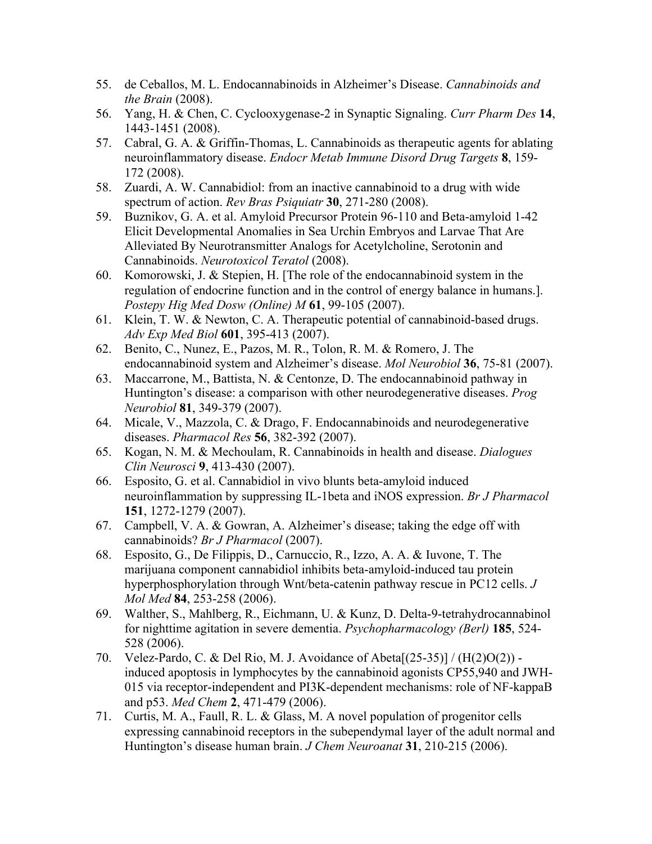- 55. de Ceballos, M. L. Endocannabinoids in Alzheimer's Disease. *Cannabinoids and the Brain* (2008).
- 56. Yang, H. & Chen, C. Cyclooxygenase-2 in Synaptic Signaling. *Curr Pharm Des* **14**, 1443-1451 (2008).
- 57. Cabral, G. A. & Griffin-Thomas, L. Cannabinoids as therapeutic agents for ablating neuroinflammatory disease. *Endocr Metab Immune Disord Drug Targets* **8**, 159- 172 (2008).
- 58. Zuardi, A. W. Cannabidiol: from an inactive cannabinoid to a drug with wide spectrum of action. *Rev Bras Psiquiatr* **30**, 271-280 (2008).
- 59. Buznikov, G. A. et al. Amyloid Precursor Protein 96-110 and Beta-amyloid 1-42 Elicit Developmental Anomalies in Sea Urchin Embryos and Larvae That Are Alleviated By Neurotransmitter Analogs for Acetylcholine, Serotonin and Cannabinoids. *Neurotoxicol Teratol* (2008).
- 60. Komorowski, J. & Stepien, H. [The role of the endocannabinoid system in the regulation of endocrine function and in the control of energy balance in humans.]. *Postepy Hig Med Dosw (Online) M* **61**, 99-105 (2007).
- 61. Klein, T. W. & Newton, C. A. Therapeutic potential of cannabinoid-based drugs. *Adv Exp Med Biol* **601**, 395-413 (2007).
- 62. Benito, C., Nunez, E., Pazos, M. R., Tolon, R. M. & Romero, J. The endocannabinoid system and Alzheimer's disease. *Mol Neurobiol* **36**, 75-81 (2007).
- 63. Maccarrone, M., Battista, N. & Centonze, D. The endocannabinoid pathway in Huntington's disease: a comparison with other neurodegenerative diseases. *Prog Neurobiol* **81**, 349-379 (2007).
- 64. Micale, V., Mazzola, C. & Drago, F. Endocannabinoids and neurodegenerative diseases. *Pharmacol Res* **56**, 382-392 (2007).
- 65. Kogan, N. M. & Mechoulam, R. Cannabinoids in health and disease. *Dialogues Clin Neurosci* **9**, 413-430 (2007).
- 66. Esposito, G. et al. Cannabidiol in vivo blunts beta-amyloid induced neuroinflammation by suppressing IL-1beta and iNOS expression. *Br J Pharmacol* **151**, 1272-1279 (2007).
- 67. Campbell, V. A. & Gowran, A. Alzheimer's disease; taking the edge off with cannabinoids? *Br J Pharmacol* (2007).
- 68. Esposito, G., De Filippis, D., Carnuccio, R., Izzo, A. A. & Iuvone, T. The marijuana component cannabidiol inhibits beta-amyloid-induced tau protein hyperphosphorylation through Wnt/beta-catenin pathway rescue in PC12 cells. *J Mol Med* **84**, 253-258 (2006).
- 69. Walther, S., Mahlberg, R., Eichmann, U. & Kunz, D. Delta-9-tetrahydrocannabinol for nighttime agitation in severe dementia. *Psychopharmacology (Berl)* **185**, 524- 528 (2006).
- 70. Velez-Pardo, C. & Del Rio, M. J. Avoidance of Abeta[(25-35)] / (H(2)O(2)) induced apoptosis in lymphocytes by the cannabinoid agonists CP55,940 and JWH-015 via receptor-independent and PI3K-dependent mechanisms: role of NF-kappaB and p53. *Med Chem* **2**, 471-479 (2006).
- 71. Curtis, M. A., Faull, R. L. & Glass, M. A novel population of progenitor cells expressing cannabinoid receptors in the subependymal layer of the adult normal and Huntington's disease human brain. *J Chem Neuroanat* **31**, 210-215 (2006).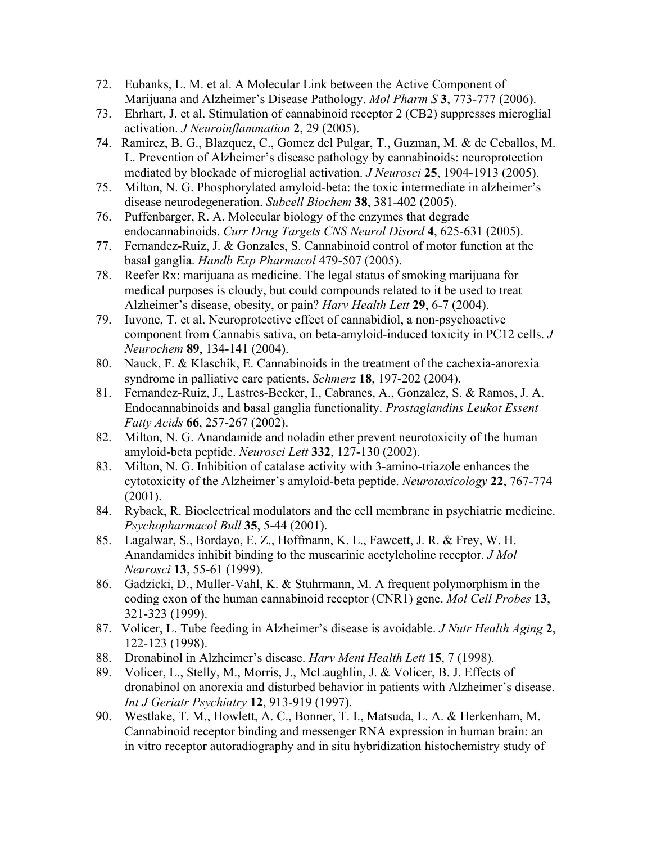- 72. Eubanks, L. M. et al. A Molecular Link between the Active Component of Marijuana and Alzheimer's Disease Pathology. *Mol Pharm S* **3**, 773-777 (2006).
- 73. Ehrhart, J. et al. Stimulation of cannabinoid receptor 2 (CB2) suppresses microglial activation. *J Neuroinflammation* **2**, 29 (2005).
- 74. Ramirez, B. G., Blazquez, C., Gomez del Pulgar, T., Guzman, M. & de Ceballos, M. L. Prevention of Alzheimer's disease pathology by cannabinoids: neuroprotection mediated by blockade of microglial activation. *J Neurosci* **25**, 1904-1913 (2005).
- 75. Milton, N. G. Phosphorylated amyloid-beta: the toxic intermediate in alzheimer's disease neurodegeneration. *Subcell Biochem* **38**, 381-402 (2005).
- 76. Puffenbarger, R. A. Molecular biology of the enzymes that degrade endocannabinoids. *Curr Drug Targets CNS Neurol Disord* **4**, 625-631 (2005).
- 77. Fernandez-Ruiz, J. & Gonzales, S. Cannabinoid control of motor function at the basal ganglia. *Handb Exp Pharmacol* 479-507 (2005).
- 78. Reefer Rx: marijuana as medicine. The legal status of smoking marijuana for medical purposes is cloudy, but could compounds related to it be used to treat Alzheimer's disease, obesity, or pain? *Harv Health Lett* **29**, 6-7 (2004).
- 79. Iuvone, T. et al. Neuroprotective effect of cannabidiol, a non-psychoactive component from Cannabis sativa, on beta-amyloid-induced toxicity in PC12 cells. *J Neurochem* **89**, 134-141 (2004).
- 80. Nauck, F. & Klaschik, E. Cannabinoids in the treatment of the cachexia-anorexia syndrome in palliative care patients. *Schmerz* **18**, 197-202 (2004).
- 81. Fernandez-Ruiz, J., Lastres-Becker, I., Cabranes, A., Gonzalez, S. & Ramos, J. A. Endocannabinoids and basal ganglia functionality. *Prostaglandins Leukot Essent Fatty Acids* **66**, 257-267 (2002).
- 82. Milton, N. G. Anandamide and noladin ether prevent neurotoxicity of the human amyloid-beta peptide. *Neurosci Lett* **332**, 127-130 (2002).
- 83. Milton, N. G. Inhibition of catalase activity with 3-amino-triazole enhances the cytotoxicity of the Alzheimer's amyloid-beta peptide. *Neurotoxicology* **22**, 767-774 (2001).
- 84. Ryback, R. Bioelectrical modulators and the cell membrane in psychiatric medicine. *Psychopharmacol Bull* **35**, 5-44 (2001).
- 85. Lagalwar, S., Bordayo, E. Z., Hoffmann, K. L., Fawcett, J. R. & Frey, W. H. Anandamides inhibit binding to the muscarinic acetylcholine receptor. *J Mol Neurosci* **13**, 55-61 (1999).
- 86. Gadzicki, D., Muller-Vahl, K. & Stuhrmann, M. A frequent polymorphism in the coding exon of the human cannabinoid receptor (CNR1) gene. *Mol Cell Probes* **13**, 321-323 (1999).
- 87. Volicer, L. Tube feeding in Alzheimer's disease is avoidable. *J Nutr Health Aging* **2**, 122-123 (1998).
- 88. Dronabinol in Alzheimer's disease. *Harv Ment Health Lett* **15**, 7 (1998).
- 89. Volicer, L., Stelly, M., Morris, J., McLaughlin, J. & Volicer, B. J. Effects of dronabinol on anorexia and disturbed behavior in patients with Alzheimer's disease. *Int J Geriatr Psychiatry* **12**, 913-919 (1997).
- 90. Westlake, T. M., Howlett, A. C., Bonner, T. I., Matsuda, L. A. & Herkenham, M. Cannabinoid receptor binding and messenger RNA expression in human brain: an in vitro receptor autoradiography and in situ hybridization histochemistry study of